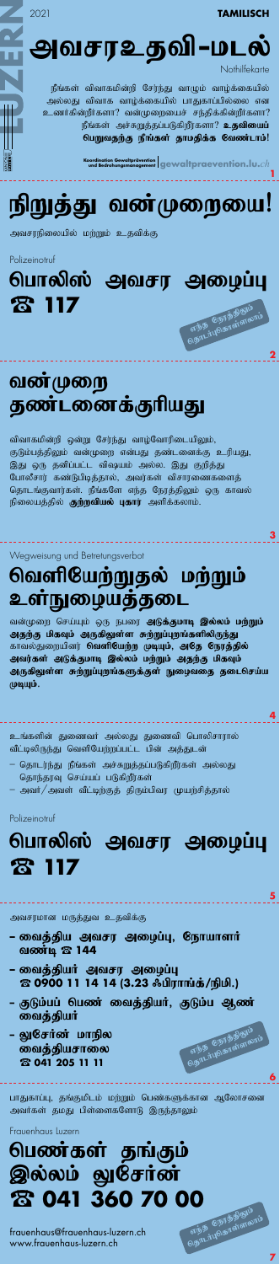

frauenhaus@frauenhaus-luzern.ch www.frauenhaus-luzern.ch

arba Chrantiananti

**7**